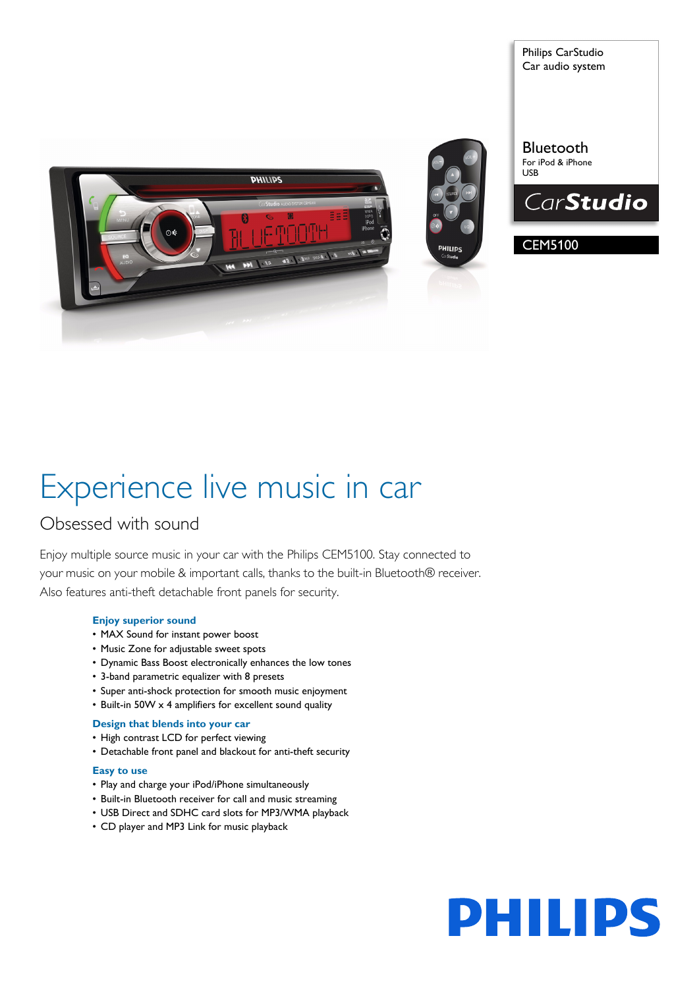



Philips CarStudio Car audio system

Bluetooth For iPod & iPhone USB



# CEM5100

# Experience live music in car

# Obsessed with sound

Enjoy multiple source music in your car with the Philips CEM5100. Stay connected to your music on your mobile & important calls, thanks to the built-in Bluetooth® receiver. Also features anti-theft detachable front panels for security.

# **Enjoy superior sound**

- MAX Sound for instant power boost
- Music Zone for adjustable sweet spots
- Dynamic Bass Boost electronically enhances the low tones
- 3-band parametric equalizer with 8 presets
- Super anti-shock protection for smooth music enjoyment
- Built-in 50W x 4 amplifiers for excellent sound quality

### **Design that blends into your car**

- High contrast LCD for perfect viewing
- Detachable front panel and blackout for anti-theft security

### **Easy to use**

- Play and charge your iPod/iPhone simultaneously
- Built-in Bluetooth receiver for call and music streaming
- USB Direct and SDHC card slots for MP3/WMA playback
- CD player and MP3 Link for music playback

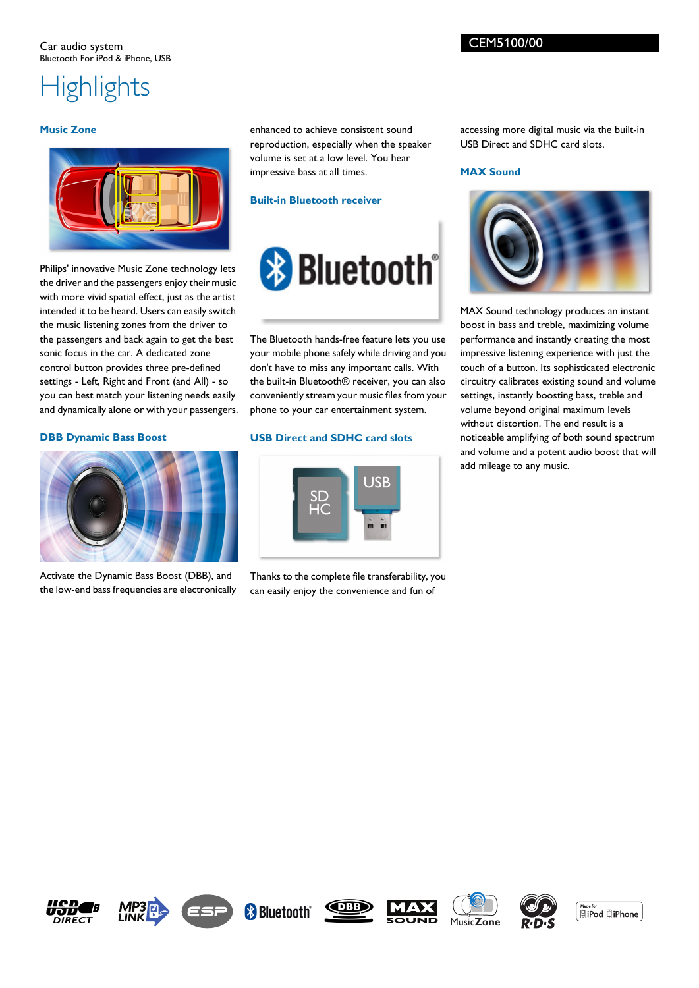# **Highlights**

### **Music Zone**



Philips' innovative Music Zone technology lets the driver and the passengers enjoy their music with more vivid spatial effect, just as the artist intended it to be heard. Users can easily switch the music listening zones from the driver to the passengers and back again to get the best sonic focus in the car. A dedicated zone control button provides three pre-defined settings - Left, Right and Front (and All) - so you can best match your listening needs easily and dynamically alone or with your passengers.

**DBB Dynamic Bass Boost**



Activate the Dynamic Bass Boost (DBB), and the low-end bass frequencies are electronically enhanced to achieve consistent sound reproduction, especially when the speaker volume is set at a low level. You hear impressive bass at all times.

# **Built-in Bluetooth receiver**



The Bluetooth hands-free feature lets you use your mobile phone safely while driving and you don't have to miss any important calls. With the built-in Bluetooth® receiver, you can also conveniently stream your music files from your phone to your car entertainment system.

# **USB Direct and SDHC card slots**



Thanks to the complete file transferability, you can easily enjoy the convenience and fun of

accessing more digital music via the built-in USB Direct and SDHC card slots.

# **MAX Sound**



MAX Sound technology produces an instant boost in bass and treble, maximizing volume performance and instantly creating the most impressive listening experience with just the touch of a button. Its sophisticated electronic circuitry calibrates existing sound and volume settings, instantly boosting bass, treble and volume beyond original maximum levels without distortion. The end result is a noticeable amplifying of both sound spectrum and volume and a potent audio boost that will add mileage to any music.















Made for<br>**a** iPod **Q** iPhone

CEM5100/00